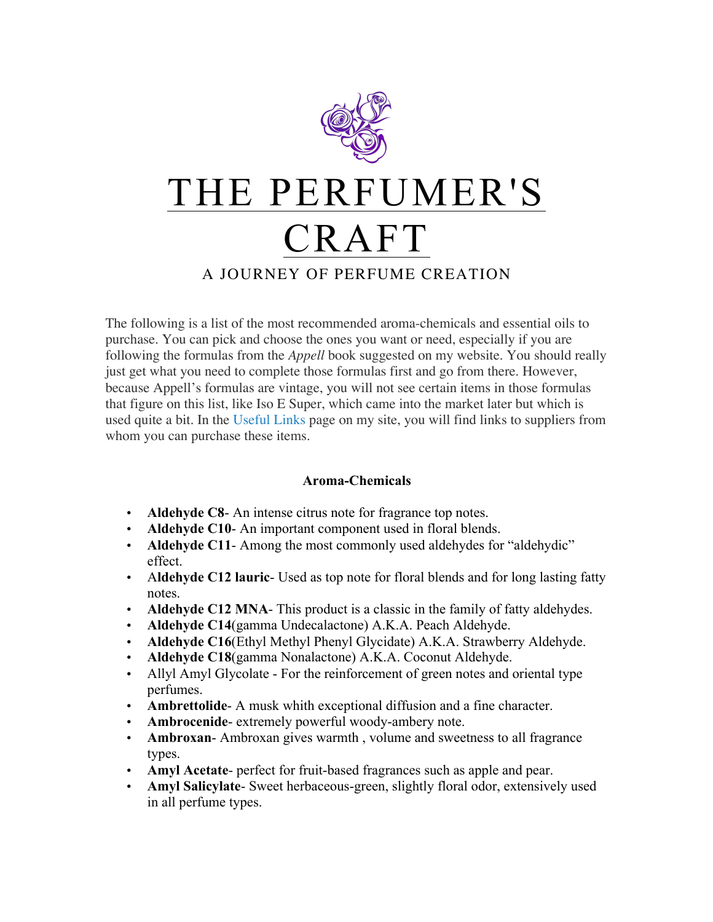

The following is a list of the most recommended aroma-chemicals and essential oils to purchase. You can pick and choose the ones you want or need, especially if you are following the formulas from the *Appell* book suggested on my website. You should really just get what you need to complete those formulas first and go from there. However, because Appell's formulas are vintage, you will not see certain items in those formulas that figure on this list, like Iso E Super, which came into the market later but which is used quite a bit. In the Useful Links page on my site, you will find links to suppliers from whom you can purchase these items.

## **Aroma-Chemicals**

- **Aldehyde C8** An intense citrus note for fragrance top notes.
- **Aldehyde C10** An important component used in floral blends.
- **Aldehyde C11** Among the most commonly used aldehydes for "aldehydic" effect.
- A**ldehyde C12 lauric** Used as top note for floral blends and for long lasting fatty notes.
- **Aldehyde C12 MNA** This product is a classic in the family of fatty aldehydes.
- **Aldehyde C14**(gamma Undecalactone) A.K.A. Peach Aldehyde.
- **Aldehyde C16**(Ethyl Methyl Phenyl Glycidate) A.K.A. Strawberry Aldehyde.
- **Aldehyde C18**(gamma Nonalactone) A.K.A. Coconut Aldehyde.
- Allyl Amyl Glycolate For the reinforcement of green notes and oriental type perfumes.
- **Ambrettolide** A musk whith exceptional diffusion and a fine character.
- **Ambrocenide** extremely powerful woody-ambery note.
- **Ambroxan** Ambroxan gives warmth , volume and sweetness to all fragrance types.
- **Amyl Acetate** perfect for fruit-based fragrances such as apple and pear.
- **Amyl Salicylate** Sweet herbaceous-green, slightly floral odor, extensively used in all perfume types.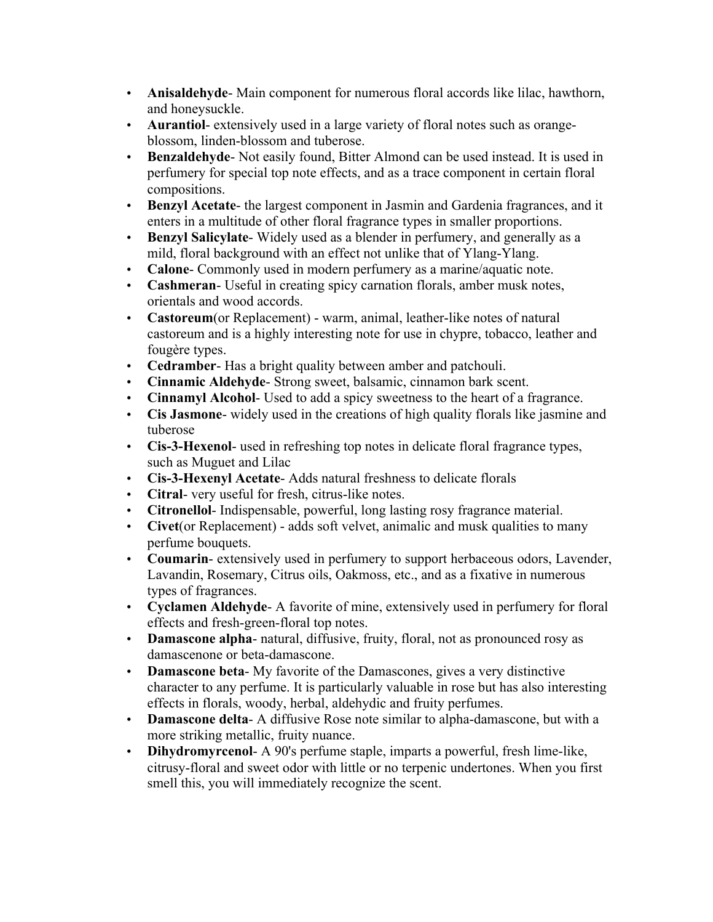- **Anisaldehyde** Main component for numerous floral accords like lilac, hawthorn, and honeysuckle.
- **Aurantiol** extensively used in a large variety of floral notes such as orangeblossom, linden-blossom and tuberose.
- **Benzaldehyde** Not easily found, Bitter Almond can be used instead. It is used in perfumery for special top note effects, and as a trace component in certain floral compositions.
- **Benzyl Acetate** the largest component in Jasmin and Gardenia fragrances, and it enters in a multitude of other floral fragrance types in smaller proportions.
- **Benzyl Salicylate** Widely used as a blender in perfumery, and generally as a mild, floral background with an effect not unlike that of Ylang-Ylang.
- **Calone** Commonly used in modern perfumery as a marine/aquatic note.
- **Cashmeran** Useful in creating spicy carnation florals, amber musk notes, orientals and wood accords.
- **Castoreum**(or Replacement) warm, animal, leather-like notes of natural castoreum and is a highly interesting note for use in chypre, tobacco, leather and fougère types.
- **Cedramber** Has a bright quality between amber and patchouli.
- **Cinnamic Aldehyde** Strong sweet, balsamic, cinnamon bark scent.
- **Cinnamyl Alcohol** Used to add a spicy sweetness to the heart of a fragrance.
- **Cis Jasmone** widely used in the creations of high quality florals like jasmine and tuberose
- **Cis-3-Hexenol** used in refreshing top notes in delicate floral fragrance types, such as Muguet and Lilac
- **Cis-3-Hexenyl Acetate** Adds natural freshness to delicate florals
- **Citral** very useful for fresh, citrus-like notes.
- **Citronellol** Indispensable, powerful, long lasting rosy fragrance material.
- **Civet**(or Replacement) adds soft velvet, animalic and musk qualities to many perfume bouquets.
- **Coumarin** extensively used in perfumery to support herbaceous odors, Lavender, Lavandin, Rosemary, Citrus oils, Oakmoss, etc., and as a fixative in numerous types of fragrances.
- **Cyclamen Aldehyde** A favorite of mine, extensively used in perfumery for floral effects and fresh-green-floral top notes.
- **Damascone alpha** natural, diffusive, fruity, floral, not as pronounced rosy as damascenone or beta-damascone.
- **Damascone beta** My favorite of the Damascones, gives a very distinctive character to any perfume. It is particularly valuable in rose but has also interesting effects in florals, woody, herbal, aldehydic and fruity perfumes.
- **Damascone delta** A diffusive Rose note similar to alpha-damascone, but with a more striking metallic, fruity nuance.
- **Dihydromyrcenol** A 90's perfume staple, imparts a powerful, fresh lime-like, citrusy-floral and sweet odor with little or no terpenic undertones. When you first smell this, you will immediately recognize the scent.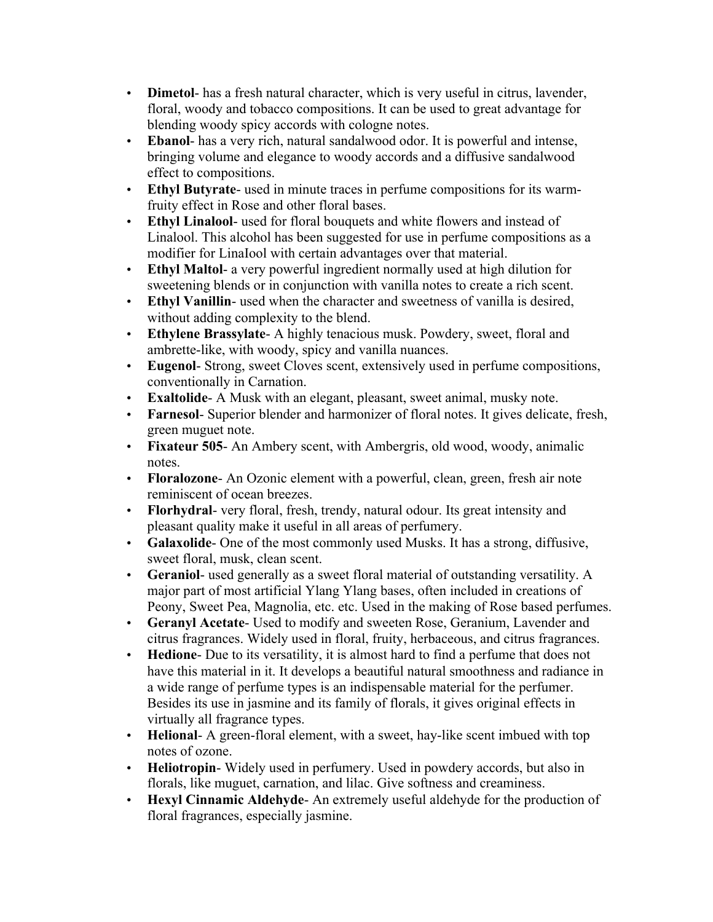- **Dimetol** has a fresh natural character, which is very useful in citrus, lavender, floral, woody and tobacco compositions. It can be used to great advantage for blending woody spicy accords with cologne notes.
- **Ebanol** has a very rich, natural sandalwood odor. It is powerful and intense, bringing volume and elegance to woody accords and a diffusive sandalwood effect to compositions.
- **Ethyl Butyrate** used in minute traces in perfume compositions for its warmfruity effect in Rose and other floral bases.
- **Ethyl Linalool** used for floral bouquets and white flowers and instead of Linalool. This alcohol has been suggested for use in perfume compositions as a modifier for LinaIool with certain advantages over that material.
- **Ethyl Maltol** a very powerful ingredient normally used at high dilution for sweetening blends or in conjunction with vanilla notes to create a rich scent.
- **Ethyl Vanillin** used when the character and sweetness of vanilla is desired, without adding complexity to the blend.
- **Ethylene Brassylate** A highly tenacious musk. Powdery, sweet, floral and ambrette-like, with woody, spicy and vanilla nuances.
- **Eugenol** Strong, sweet Cloves scent, extensively used in perfume compositions, conventionally in Carnation.
- **Exaltolide** A Musk with an elegant, pleasant, sweet animal, musky note.
- **Farnesol** Superior blender and harmonizer of floral notes. It gives delicate, fresh, green muguet note.
- **Fixateur 505** An Ambery scent, with Ambergris, old wood, woody, animalic notes.
- **Floralozone** An Ozonic element with a powerful, clean, green, fresh air note reminiscent of ocean breezes.
- **Florhydral** very floral, fresh, trendy, natural odour. Its great intensity and pleasant quality make it useful in all areas of perfumery.
- **Galaxolide** One of the most commonly used Musks. It has a strong, diffusive, sweet floral, musk, clean scent.
- **Geraniol** used generally as a sweet floral material of outstanding versatility. A major part of most artificial Ylang Ylang bases, often included in creations of Peony, Sweet Pea, Magnolia, etc. etc. Used in the making of Rose based perfumes.
- **Geranyl Acetate** Used to modify and sweeten Rose, Geranium, Lavender and citrus fragrances. Widely used in floral, fruity, herbaceous, and citrus fragrances.
- **Hedione** Due to its versatility, it is almost hard to find a perfume that does not have this material in it. It develops a beautiful natural smoothness and radiance in a wide range of perfume types is an indispensable material for the perfumer. Besides its use in jasmine and its family of florals, it gives original effects in virtually all fragrance types.
- **Helional** A green-floral element, with a sweet, hay-like scent imbued with top notes of ozone.
- **Heliotropin** Widely used in perfumery. Used in powdery accords, but also in florals, like muguet, carnation, and lilac. Give softness and creaminess.
- **Hexyl Cinnamic Aldehyde** An extremely useful aldehyde for the production of floral fragrances, especially jasmine.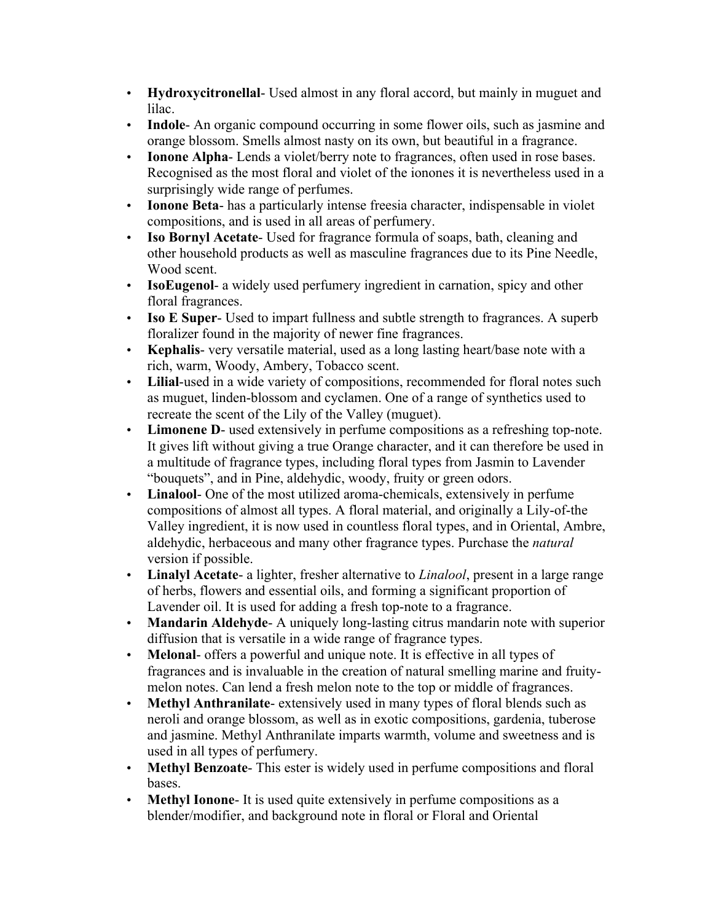- **Hydroxycitronellal** Used almost in any floral accord, but mainly in muguet and lilac.
- **Indole** An organic compound occurring in some flower oils, such as jasmine and orange blossom. Smells almost nasty on its own, but beautiful in a fragrance.
- **Ionone Alpha** Lends a violet/berry note to fragrances, often used in rose bases. Recognised as the most floral and violet of the ionones it is nevertheless used in a surprisingly wide range of perfumes.
- **Ionone Beta** has a particularly intense freesia character, indispensable in violet compositions, and is used in all areas of perfumery.
- **Iso Bornyl Acetate** Used for fragrance formula of soaps, bath, cleaning and other household products as well as masculine fragrances due to its Pine Needle, Wood scent.
- **IsoEugenol** a widely used perfumery ingredient in carnation, spicy and other floral fragrances.
- **Iso E Super** Used to impart fullness and subtle strength to fragrances. A superb floralizer found in the majority of newer fine fragrances.
- **Kephalis** very versatile material, used as a long lasting heart/base note with a rich, warm, Woody, Ambery, Tobacco scent.
- **Lilial**-used in a wide variety of compositions, recommended for floral notes such as muguet, linden-blossom and cyclamen. One of a range of synthetics used to recreate the scent of the Lily of the Valley (muguet).
- **Limonene D** used extensively in perfume compositions as a refreshing top-note. It gives lift without giving a true Orange character, and it can therefore be used in a multitude of fragrance types, including floral types from Jasmin to Lavender "bouquets", and in Pine, aldehydic, woody, fruity or green odors.
- **Linalool** One of the most utilized aroma-chemicals, extensively in perfume compositions of almost all types. A floral material, and originally a Lily-of-the Valley ingredient, it is now used in countless floral types, and in Oriental, Ambre, aldehydic, herbaceous and many other fragrance types. Purchase the *natural* version if possible.
- **Linalyl Acetate** a lighter, fresher alternative to *Linalool*, present in a large range of herbs, flowers and essential oils, and forming a significant proportion of Lavender oil. It is used for adding a fresh top-note to a fragrance.
- **Mandarin Aldehyde** A uniquely long-lasting citrus mandarin note with superior diffusion that is versatile in a wide range of fragrance types.
- **Melonal** offers a powerful and unique note. It is effective in all types of fragrances and is invaluable in the creation of natural smelling marine and fruitymelon notes. Can lend a fresh melon note to the top or middle of fragrances.
- **Methyl Anthranilate** extensively used in many types of floral blends such as neroli and orange blossom, as well as in exotic compositions, gardenia, tuberose and jasmine. Methyl Anthranilate imparts warmth, volume and sweetness and is used in all types of perfumery.
- **Methyl Benzoate** This ester is widely used in perfume compositions and floral bases.
- **Methyl Ionone** It is used quite extensively in perfume compositions as a blender/modifier, and background note in floral or Floral and Oriental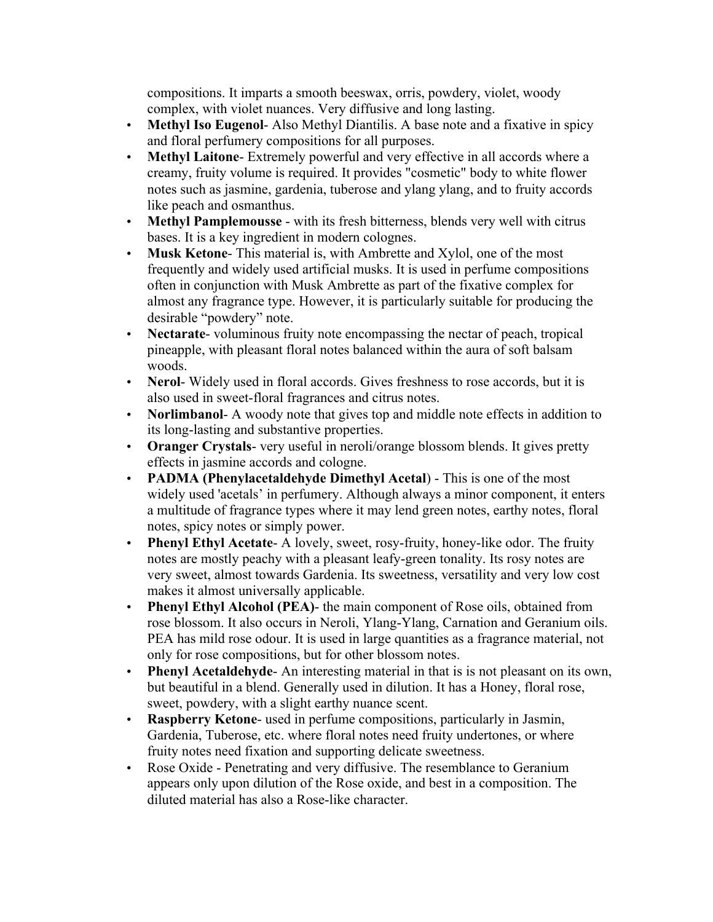compositions. It imparts a smooth beeswax, orris, powdery, violet, woody complex, with violet nuances. Very diffusive and long lasting.

- **Methyl Iso Eugenol** Also Methyl Diantilis. A base note and a fixative in spicy and floral perfumery compositions for all purposes.
- **Methyl Laitone** Extremely powerful and very effective in all accords where a creamy, fruity volume is required. It provides "cosmetic" body to white flower notes such as jasmine, gardenia, tuberose and ylang ylang, and to fruity accords like peach and osmanthus.
- **Methyl Pamplemousse** with its fresh bitterness, blends very well with citrus bases. It is a key ingredient in modern colognes.
- **Musk Ketone** This material is, with Ambrette and Xylol, one of the most frequently and widely used artificial musks. It is used in perfume compositions often in conjunction with Musk Ambrette as part of the fixative complex for almost any fragrance type. However, it is particularly suitable for producing the desirable "powdery" note.
- **Nectarate** voluminous fruity note encompassing the nectar of peach, tropical pineapple, with pleasant floral notes balanced within the aura of soft balsam woods.
- **Nerol** Widely used in floral accords. Gives freshness to rose accords, but it is also used in sweet-floral fragrances and citrus notes.
- **Norlimbanol** A woody note that gives top and middle note effects in addition to its long-lasting and substantive properties.
- **Oranger Crystals** very useful in neroli/orange blossom blends. It gives pretty effects in jasmine accords and cologne.
- **PADMA (Phenylacetaldehyde Dimethyl Acetal**) This is one of the most widely used 'acetals' in perfumery. Although always a minor component, it enters a multitude of fragrance types where it may lend green notes, earthy notes, floral notes, spicy notes or simply power.
- **Phenyl Ethyl Acetate** A lovely, sweet, rosy-fruity, honey-like odor. The fruity notes are mostly peachy with a pleasant leafy-green tonality. Its rosy notes are very sweet, almost towards Gardenia. Its sweetness, versatility and very low cost makes it almost universally applicable.
- **Phenyl Ethyl Alcohol (PEA)** the main component of Rose oils, obtained from rose blossom. It also occurs in Neroli, Ylang-Ylang, Carnation and Geranium oils. PEA has mild rose odour. It is used in large quantities as a fragrance material, not only for rose compositions, but for other blossom notes.
- **Phenyl Acetaldehyde** An interesting material in that is is not pleasant on its own, but beautiful in a blend. Generally used in dilution. It has a Honey, floral rose, sweet, powdery, with a slight earthy nuance scent.
- **Raspberry Ketone** used in perfume compositions, particularly in Jasmin, Gardenia, Tuberose, etc. where floral notes need fruity undertones, or where fruity notes need fixation and supporting delicate sweetness.
- Rose Oxide Penetrating and very diffusive. The resemblance to Geranium appears only upon dilution of the Rose oxide, and best in a composition. The diluted material has also a Rose-like character.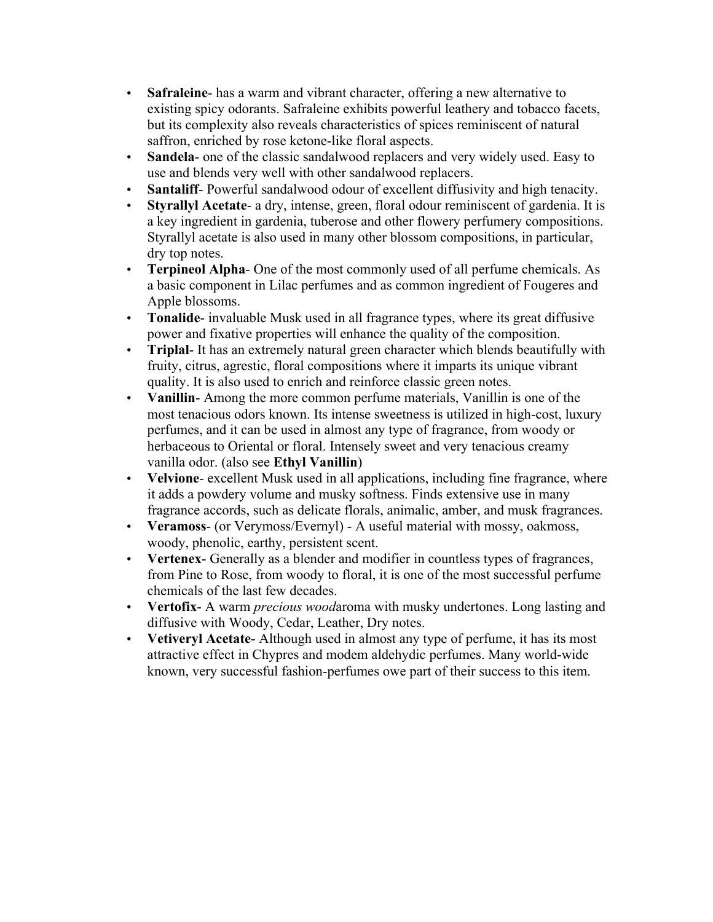- **Safraleine** has a warm and vibrant character, offering a new alternative to existing spicy odorants. Safraleine exhibits powerful leathery and tobacco facets, but its complexity also reveals characteristics of spices reminiscent of natural saffron, enriched by rose ketone-like floral aspects.
- **Sandela-** one of the classic sandalwood replacers and very widely used. Easy to use and blends very well with other sandalwood replacers.
- **Santaliff** Powerful sandalwood odour of excellent diffusivity and high tenacity.
- **Styrallyl Acetate** a dry, intense, green, floral odour reminiscent of gardenia. It is a key ingredient in gardenia, tuberose and other flowery perfumery compositions. Styrallyl acetate is also used in many other blossom compositions, in particular, dry top notes.
- **Terpineol Alpha** One of the most commonly used of all perfume chemicals. As a basic component in Lilac perfumes and as common ingredient of Fougeres and Apple blossoms.
- **Tonalide** invaluable Musk used in all fragrance types, where its great diffusive power and fixative properties will enhance the quality of the composition.
- **Triplal** It has an extremely natural green character which blends beautifully with fruity, citrus, agrestic, floral compositions where it imparts its unique vibrant quality. It is also used to enrich and reinforce classic green notes.
- **Vanillin** Among the more common perfume materials, Vanillin is one of the most tenacious odors known. Its intense sweetness is utilized in high-cost, luxury perfumes, and it can be used in almost any type of fragrance, from woody or herbaceous to Oriental or floral. Intensely sweet and very tenacious creamy vanilla odor. (also see **Ethyl Vanillin**)
- **Velvione** excellent Musk used in all applications, including fine fragrance, where it adds a powdery volume and musky softness. Finds extensive use in many fragrance accords, such as delicate florals, animalic, amber, and musk fragrances.
- **Veramoss** (or Verymoss/Evernyl) A useful material with mossy, oakmoss, woody, phenolic, earthy, persistent scent.
- **Vertenex** Generally as a blender and modifier in countless types of fragrances, from Pine to Rose, from woody to floral, it is one of the most successful perfume chemicals of the last few decades.
- **Vertofix** A warm *precious wood*aroma with musky undertones. Long lasting and diffusive with Woody, Cedar, Leather, Dry notes.
- **Vetiveryl Acetate** Although used in almost any type of perfume, it has its most attractive effect in Chypres and modem aldehydic perfumes. Many world-wide known, very successful fashion-perfumes owe part of their success to this item.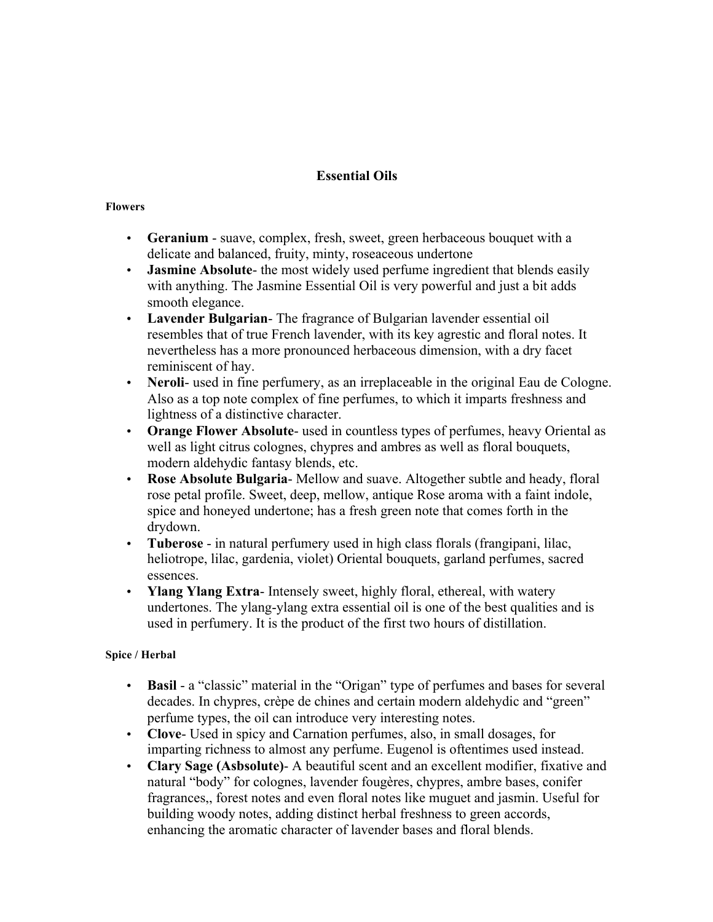# **Essential Oils**

#### **Flowers**

- **Geranium** suave, complex, fresh, sweet, green herbaceous bouquet with a delicate and balanced, fruity, minty, roseaceous undertone
- **Jasmine Absolute** the most widely used perfume ingredient that blends easily with anything. The Jasmine Essential Oil is very powerful and just a bit adds smooth elegance.
- **Lavender Bulgarian** The fragrance of Bulgarian lavender essential oil resembles that of true French lavender, with its key agrestic and floral notes. It nevertheless has a more pronounced herbaceous dimension, with a dry facet reminiscent of hay.
- **Neroli** used in fine perfumery, as an irreplaceable in the original Eau de Cologne. Also as a top note complex of fine perfumes, to which it imparts freshness and lightness of a distinctive character.
- **Orange Flower Absolute** used in countless types of perfumes, heavy Oriental as well as light citrus colognes, chypres and ambres as well as floral bouquets, modern aldehydic fantasy blends, etc.
- **Rose Absolute Bulgaria** Mellow and suave. Altogether subtle and heady, floral rose petal profile. Sweet, deep, mellow, antique Rose aroma with a faint indole, spice and honeyed undertone; has a fresh green note that comes forth in the drydown.
- **Tuberose** in natural perfumery used in high class florals (frangipani, lilac, heliotrope, lilac, gardenia, violet) Oriental bouquets, garland perfumes, sacred essences.
- **Ylang Ylang Extra** Intensely sweet, highly floral, ethereal, with watery undertones. The ylang-ylang extra essential oil is one of the best qualities and is used in perfumery. It is the product of the first two hours of distillation.

## **Spice / Herbal**

- **Basil** a "classic" material in the "Origan" type of perfumes and bases for several decades. In chypres, crèpe de chines and certain modern aldehydic and "green" perfume types, the oil can introduce very interesting notes.
- **Clove** Used in spicy and Carnation perfumes, also, in small dosages, for imparting richness to almost any perfume. Eugenol is oftentimes used instead.
- **Clary Sage (Asbsolute)** A beautiful scent and an excellent modifier, fixative and natural "body" for colognes, lavender fougères, chypres, ambre bases, conifer fragrances,, forest notes and even floral notes like muguet and jasmin. Useful for building woody notes, adding distinct herbal freshness to green accords, enhancing the aromatic character of lavender bases and floral blends.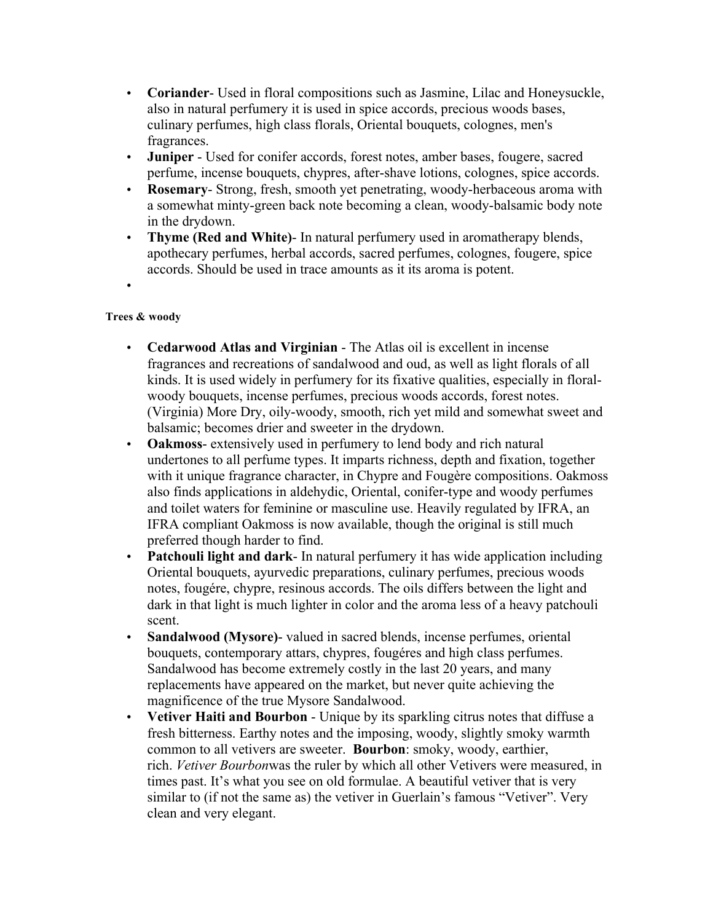- **Coriander** Used in floral compositions such as Jasmine, Lilac and Honeysuckle, also in natural perfumery it is used in spice accords, precious woods bases, culinary perfumes, high class florals, Oriental bouquets, colognes, men's fragrances.
- **Juniper** Used for conifer accords, forest notes, amber bases, fougere, sacred perfume, incense bouquets, chypres, after-shave lotions, colognes, spice accords.
- **Rosemary** Strong, fresh, smooth yet penetrating, woody-herbaceous aroma with a somewhat minty-green back note becoming a clean, woody-balsamic body note in the drydown.
- **Thyme (Red and White)** In natural perfumery used in aromatherapy blends, apothecary perfumes, herbal accords, sacred perfumes, colognes, fougere, spice accords. Should be used in trace amounts as it its aroma is potent.
- •

## **Trees & woody**

- **Cedarwood Atlas and Virginian** The Atlas oil is excellent in incense fragrances and recreations of sandalwood and oud, as well as light florals of all kinds. It is used widely in perfumery for its fixative qualities, especially in floralwoody bouquets, incense perfumes, precious woods accords, forest notes. (Virginia) More Dry, oily-woody, smooth, rich yet mild and somewhat sweet and balsamic; becomes drier and sweeter in the drydown.
- **Oakmoss** extensively used in perfumery to lend body and rich natural undertones to all perfume types. It imparts richness, depth and fixation, together with it unique fragrance character, in Chypre and Fougère compositions. Oakmoss also finds applications in aldehydic, Oriental, conifer-type and woody perfumes and toilet waters for feminine or masculine use. Heavily regulated by IFRA, an IFRA compliant Oakmoss is now available, though the original is still much preferred though harder to find.
- **Patchouli light and dark** In natural perfumery it has wide application including Oriental bouquets, ayurvedic preparations, culinary perfumes, precious woods notes, fougére, chypre, resinous accords. The oils differs between the light and dark in that light is much lighter in color and the aroma less of a heavy patchouli scent.
- **Sandalwood (Mysore)** valued in sacred blends, incense perfumes, oriental bouquets, contemporary attars, chypres, fougéres and high class perfumes. Sandalwood has become extremely costly in the last 20 years, and many replacements have appeared on the market, but never quite achieving the magnificence of the true Mysore Sandalwood.
- **Vetiver Haiti and Bourbon** Unique by its sparkling citrus notes that diffuse a fresh bitterness. Earthy notes and the imposing, woody, slightly smoky warmth common to all vetivers are sweeter. **Bourbon**: smoky, woody, earthier, rich. *Vetiver Bourbon*was the ruler by which all other Vetivers were measured, in times past. It's what you see on old formulae. A beautiful vetiver that is very similar to (if not the same as) the vetiver in Guerlain's famous "Vetiver". Very clean and very elegant.